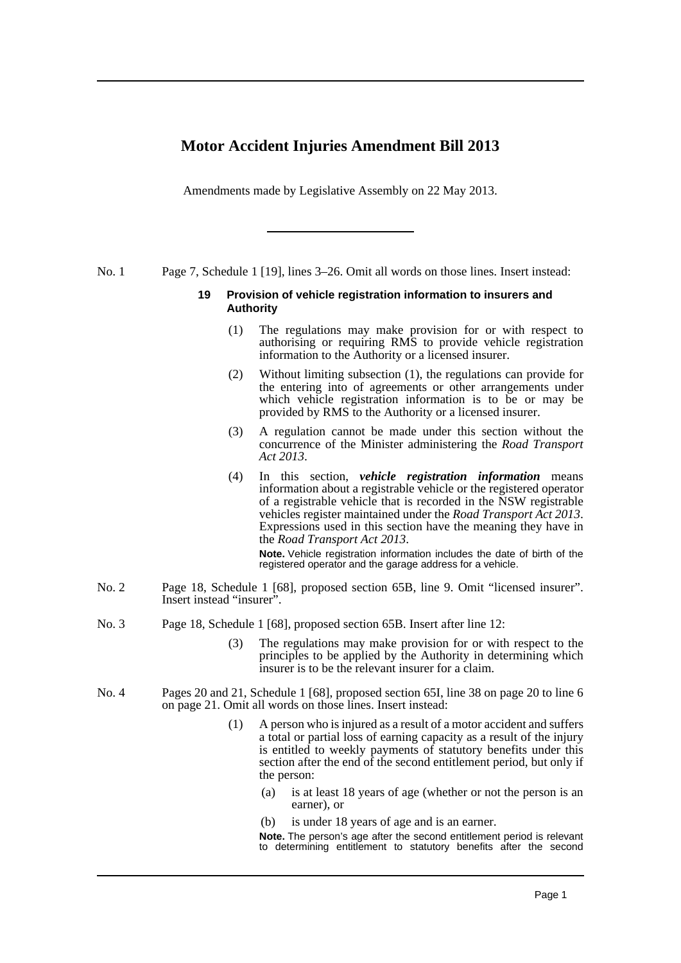## **Motor Accident Injuries Amendment Bill 2013**

Amendments made by Legislative Assembly on 22 May 2013.

No. 1 Page 7, Schedule 1 [19], lines 3–26. Omit all words on those lines. Insert instead:

## **19 Provision of vehicle registration information to insurers and Authority**

- (1) The regulations may make provision for or with respect to authorising or requiring RMS to provide vehicle registration information to the Authority or a licensed insurer.
- (2) Without limiting subsection (1), the regulations can provide for the entering into of agreements or other arrangements under which vehicle registration information is to be or may be provided by RMS to the Authority or a licensed insurer.
- (3) A regulation cannot be made under this section without the concurrence of the Minister administering the *Road Transport Act 2013*.
- (4) In this section, *vehicle registration information* means information about a registrable vehicle or the registered operator of a registrable vehicle that is recorded in the NSW registrable vehicles register maintained under the *Road Transport Act 2013*. Expressions used in this section have the meaning they have in the *Road Transport Act 2013*.

**Note.** Vehicle registration information includes the date of birth of the registered operator and the garage address for a vehicle.

- No. 2 Page 18, Schedule 1 [68], proposed section 65B, line 9. Omit "licensed insurer". Insert instead "insurer".
- No. 3 Page 18, Schedule 1 [68], proposed section 65B. Insert after line 12:
	- (3) The regulations may make provision for or with respect to the principles to be applied by the Authority in determining which insurer is to be the relevant insurer for a claim.
- No. 4 Pages 20 and 21, Schedule 1 [68], proposed section 65I, line 38 on page 20 to line 6 on page 21. Omit all words on those lines. Insert instead:
	- (1) A person who is injured as a result of a motor accident and suffers a total or partial loss of earning capacity as a result of the injury is entitled to weekly payments of statutory benefits under this section after the end of the second entitlement period, but only if the person:
		- (a) is at least 18 years of age (whether or not the person is an earner), or
		- (b) is under 18 years of age and is an earner.
		- **Note.** The person's age after the second entitlement period is relevant to determining entitlement to statutory benefits after the second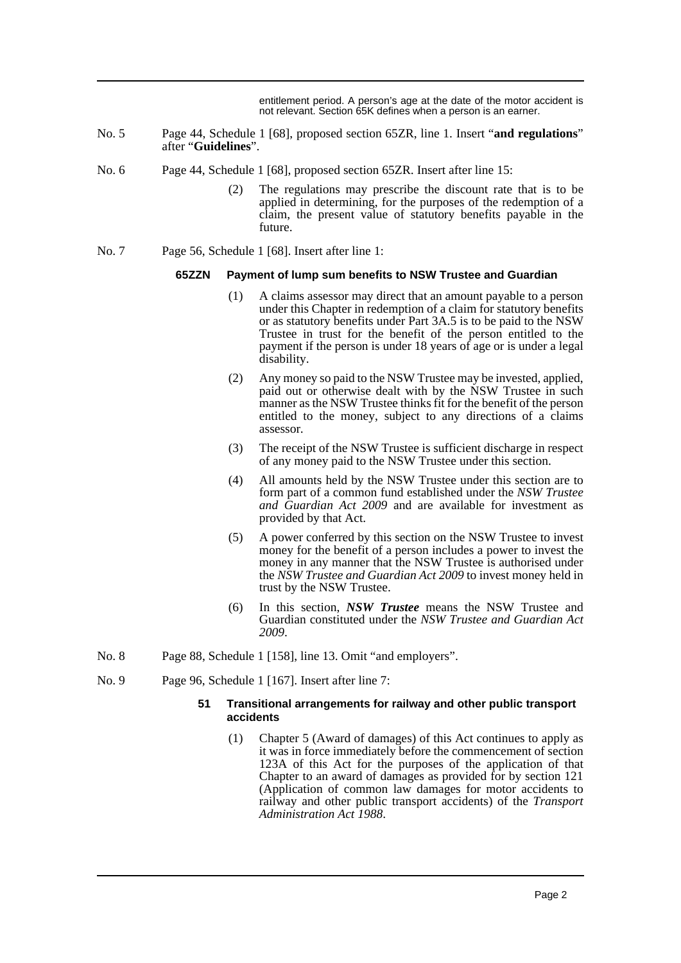entitlement period. A person's age at the date of the motor accident is not relevant. Section 65K defines when a person is an earner.

- No. 5 Page 44, Schedule 1 [68], proposed section 65ZR, line 1. Insert "**and regulations**" after "**Guidelines**".
- No. 6 Page 44, Schedule 1 [68], proposed section 65ZR. Insert after line 15:
	- (2) The regulations may prescribe the discount rate that is to be applied in determining, for the purposes of the redemption of a claim, the present value of statutory benefits payable in the future.
- No. 7 Page 56, Schedule 1 [68]. Insert after line 1:

## **65ZZN Payment of lump sum benefits to NSW Trustee and Guardian**

- (1) A claims assessor may direct that an amount payable to a person under this Chapter in redemption of a claim for statutory benefits or as statutory benefits under Part 3A.5 is to be paid to the NSW Trustee in trust for the benefit of the person entitled to the payment if the person is under 18 years of age or is under a legal disability.
- (2) Any money so paid to the NSW Trustee may be invested, applied, paid out or otherwise dealt with by the NSW Trustee in such manner as the NSW Trustee thinks fit for the benefit of the person entitled to the money, subject to any directions of a claims assessor.
- (3) The receipt of the NSW Trustee is sufficient discharge in respect of any money paid to the NSW Trustee under this section.
- (4) All amounts held by the NSW Trustee under this section are to form part of a common fund established under the *NSW Trustee and Guardian Act 2009* and are available for investment as provided by that Act.
- (5) A power conferred by this section on the NSW Trustee to invest money for the benefit of a person includes a power to invest the money in any manner that the NSW Trustee is authorised under the *NSW Trustee and Guardian Act 2009* to invest money held in trust by the NSW Trustee.
- (6) In this section, *NSW Trustee* means the NSW Trustee and Guardian constituted under the *NSW Trustee and Guardian Act 2009*.
- No. 8 Page 88, Schedule 1 [158], line 13. Omit "and employers".
- No. 9 Page 96, Schedule 1 [167]. Insert after line 7:

## **51 Transitional arrangements for railway and other public transport accidents**

(1) Chapter 5 (Award of damages) of this Act continues to apply as it was in force immediately before the commencement of section 123A of this Act for the purposes of the application of that Chapter to an award of damages as provided for by section 121 (Application of common law damages for motor accidents to railway and other public transport accidents) of the *Transport Administration Act 1988*.